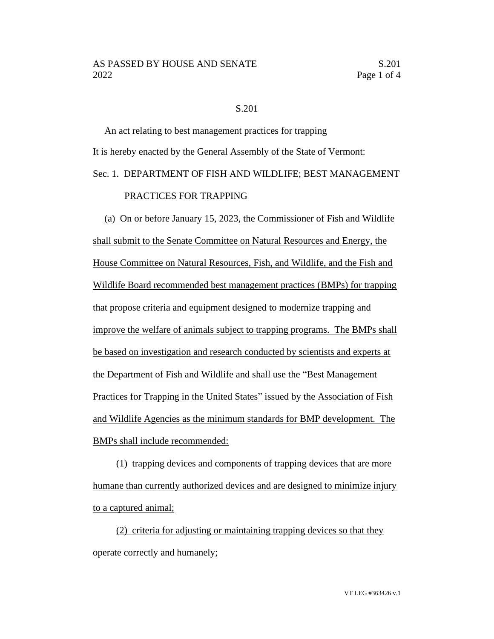## S.201

An act relating to best management practices for trapping It is hereby enacted by the General Assembly of the State of Vermont: Sec. 1. DEPARTMENT OF FISH AND WILDLIFE; BEST MANAGEMENT PRACTICES FOR TRAPPING

(a) On or before January 15, 2023, the Commissioner of Fish and Wildlife shall submit to the Senate Committee on Natural Resources and Energy, the House Committee on Natural Resources, Fish, and Wildlife, and the Fish and Wildlife Board recommended best management practices (BMPs) for trapping that propose criteria and equipment designed to modernize trapping and improve the welfare of animals subject to trapping programs. The BMPs shall be based on investigation and research conducted by scientists and experts at the Department of Fish and Wildlife and shall use the "Best Management Practices for Trapping in the United States" issued by the Association of Fish and Wildlife Agencies as the minimum standards for BMP development. The BMPs shall include recommended:

(1) trapping devices and components of trapping devices that are more humane than currently authorized devices and are designed to minimize injury to a captured animal;

(2) criteria for adjusting or maintaining trapping devices so that they operate correctly and humanely;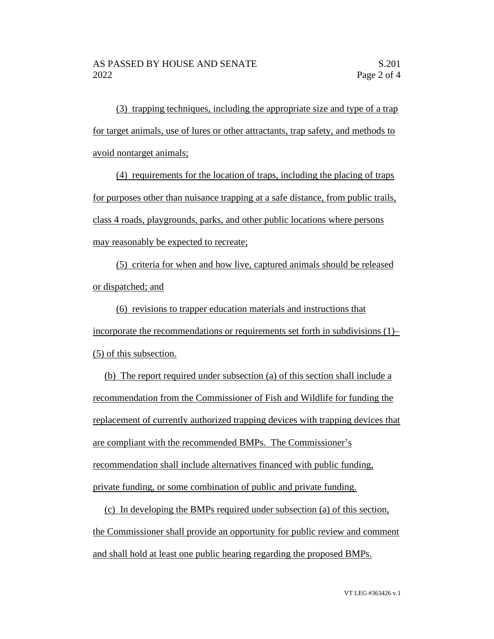(3) trapping techniques, including the appropriate size and type of a trap for target animals, use of lures or other attractants, trap safety, and methods to avoid nontarget animals;

(4) requirements for the location of traps, including the placing of traps for purposes other than nuisance trapping at a safe distance, from public trails, class 4 roads, playgrounds, parks, and other public locations where persons may reasonably be expected to recreate;

(5) criteria for when and how live, captured animals should be released or dispatched; and

(6) revisions to trapper education materials and instructions that incorporate the recommendations or requirements set forth in subdivisions (1)– (5) of this subsection.

(b) The report required under subsection (a) of this section shall include a recommendation from the Commissioner of Fish and Wildlife for funding the replacement of currently authorized trapping devices with trapping devices that are compliant with the recommended BMPs. The Commissioner's recommendation shall include alternatives financed with public funding, private funding, or some combination of public and private funding.

(c) In developing the BMPs required under subsection (a) of this section, the Commissioner shall provide an opportunity for public review and comment and shall hold at least one public hearing regarding the proposed BMPs.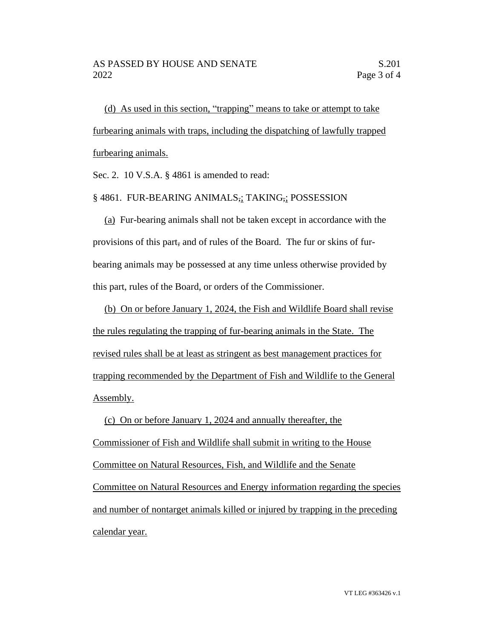(d) As used in this section, "trapping" means to take or attempt to take furbearing animals with traps, including the dispatching of lawfully trapped furbearing animals.

Sec. 2. 10 V.S.A. § 4861 is amended to read:

## § 4861. FUR-BEARING ANIMALS,; TAKING,; POSSESSION

(a) Fur-bearing animals shall not be taken except in accordance with the provisions of this part, and of rules of the Board. The fur or skins of furbearing animals may be possessed at any time unless otherwise provided by this part, rules of the Board, or orders of the Commissioner.

(b) On or before January 1, 2024, the Fish and Wildlife Board shall revise the rules regulating the trapping of fur-bearing animals in the State. The revised rules shall be at least as stringent as best management practices for trapping recommended by the Department of Fish and Wildlife to the General Assembly.

(c) On or before January 1, 2024 and annually thereafter, the Commissioner of Fish and Wildlife shall submit in writing to the House Committee on Natural Resources, Fish, and Wildlife and the Senate Committee on Natural Resources and Energy information regarding the species and number of nontarget animals killed or injured by trapping in the preceding calendar year.